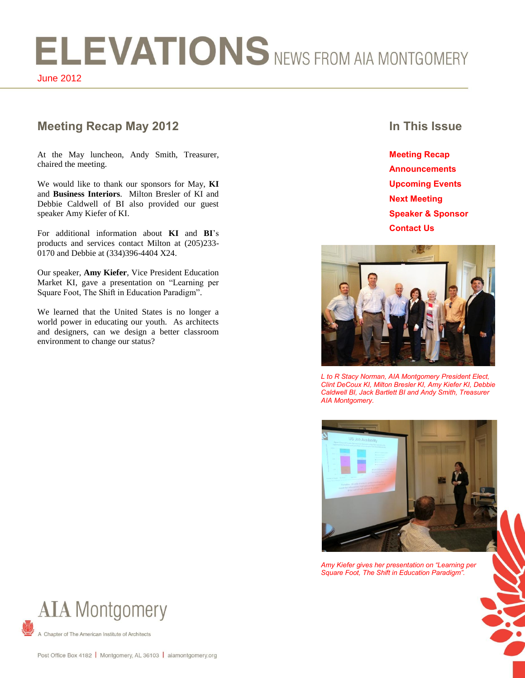# ELEVATIONS NEWS FROM AIA MONTGOMERY June 2012

# **Meeting Recap May 2012 In This Issue**

At the May luncheon, Andy Smith, Treasurer, chaired the meeting.

We would like to thank our sponsors for May, **KI** and **Business Interiors**. Milton Bresler of KI and Debbie Caldwell of BI also provided our guest speaker Amy Kiefer of KI.

For additional information about **KI** and **BI**'s products and services contact Milton at (205)233- 0170 and Debbie at (334)396-4404 X24.

Our speaker, **Amy Kiefer**, Vice President Education Market KI, gave a presentation on "Learning per Square Foot, The Shift in Education Paradigm".

We learned that the United States is no longer a world power in educating our youth. As architects and designers, can we design a better classroom environment to change our status?

**Meeting Recap Announcements Upcoming Events Next Meeting Speaker & Sponsor Contact Us**



*L to R Stacy Norman, AIA Montgomery President Elect, Clint DeCoux KI, Milton Bresler KI, Amy Kiefer KI, Debbie Caldwell BI, Jack Bartlett BI and Andy Smith, Treasurer AIA Montgomery.*



*Amy Kiefer gives her presentation on "Learning per Square Foot, The Shift in Education Paradigm".*



Chapter of The American Institute of Architects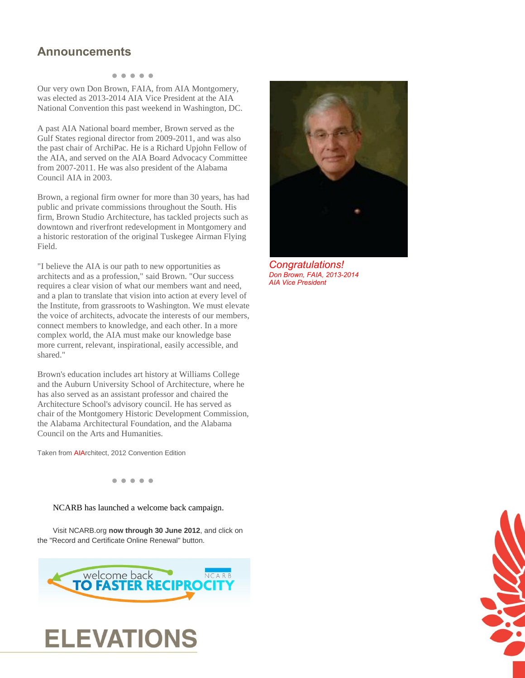# **Announcements**

#### **● ● ● ● ●**

Our very own Don Brown, FAIA, from AIA Montgomery, was elected as 2013-2014 AIA Vice President at the AIA National Convention this past weekend in Washington, DC.

A past AIA National board member, Brown served as the Gulf States regional director from 2009-2011, and was also the past chair of ArchiPac. He is a Richard Upjohn Fellow of the AIA, and served on the AIA Board Advocacy Committee from 2007-2011. He was also president of the Alabama Council AIA in 2003.

Brown, a regional firm owner for more than 30 years, has had public and private commissions throughout the South. His firm, Brown Studio Architecture, has tackled projects such as downtown and riverfront redevelopment in Montgomery and a historic restoration of the original Tuskegee Airman Flying Field.

"I believe the AIA is our path to new opportunities as architects and as a profession," said Brown. "Our success requires a clear vision of what our members want and need, and a plan to translate that vision into action at every level of the Institute, from grassroots to Washington. We must elevate the voice of architects, advocate the interests of our members, connect members to knowledge, and each other. In a more complex world, the AIA must make our knowledge base more current, relevant, inspirational, easily accessible, and shared."

Brown's education includes art history at Williams College and the Auburn University School of Architecture, where he has also served as an assistant professor and chaired the Architecture School's advisory council. He has served as chair of the Montgomery Historic Development Commission, the Alabama Architectural Foundation, and the Alabama Council on the Arts and Humanities.

Taken from AIArchitect, 2012 Convention Edition

**● ● ● ● ●**

#### NCARB has launched a welcome back campaign.

Visit NCARB.org **now through 30 June 2012**, and click on the "Record and Certificate Online Renewal" button.







*Congratulations! Don Brown, FAIA, 2013-2014 AIA Vice President*